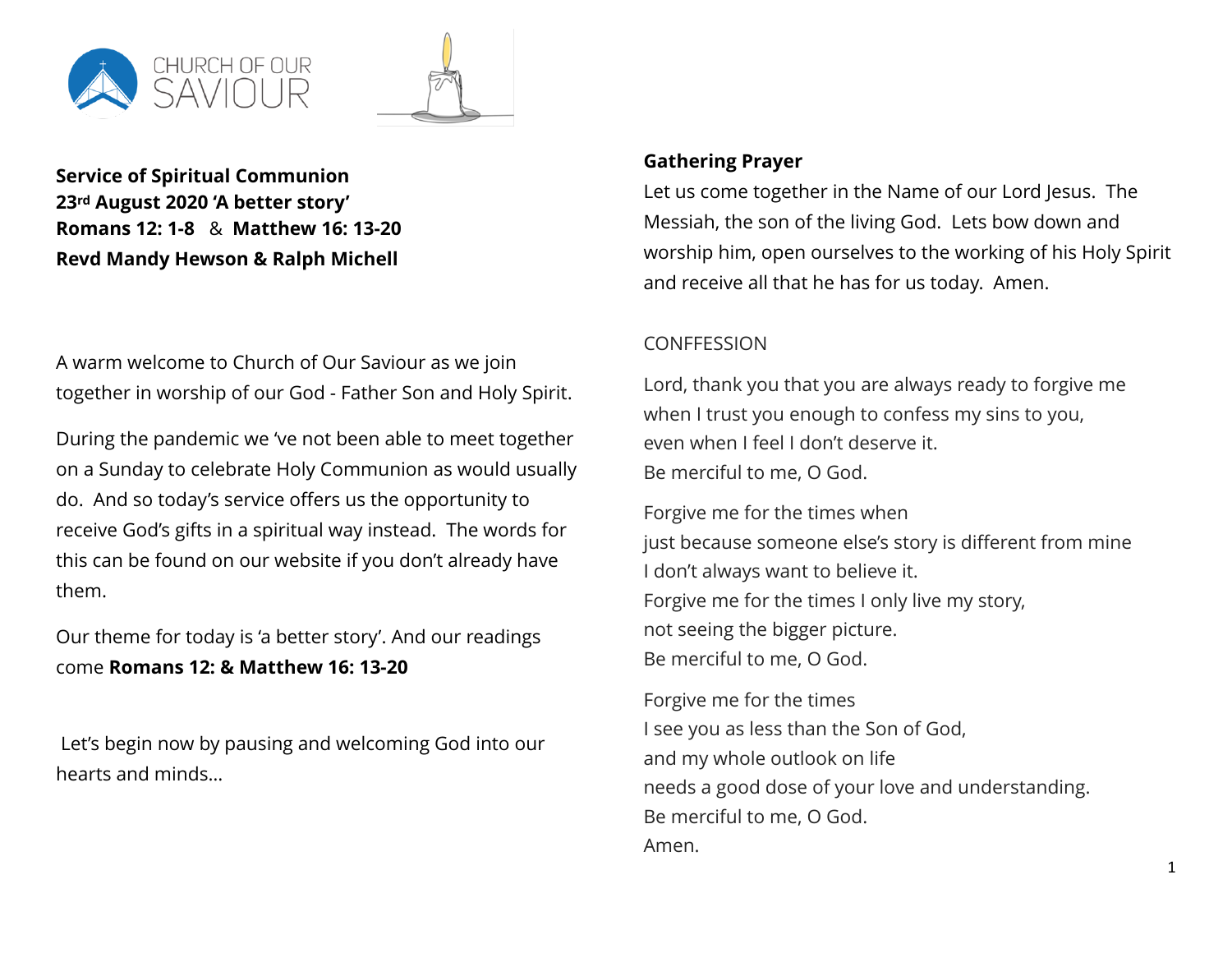



**Service of Spiritual Communion 23rd August 2020 'A better story' Romans 12: 1-8** & **Matthew 16: 13-20 Revd Mandy Hewson & Ralph Michell**

A warm welcome to Church of Our Saviour as we join together in worship of our God - Father Son and Holy Spirit.

During the pandemic we 've not been able to meet together on a Sunday to celebrate Holy Communion as would usually do. And so today's service offers us the opportunity to receive God's gifts in a spiritual way instead. The words for this can be found on our website if you don't already have them.

Our theme for today is 'a better story'. And our readings come **Romans 12: & Matthew 16: 13-20** 

 Let's begin now by pausing and welcoming God into our hearts and minds…

### **Gathering Prayer**

Let us come together in the Name of our Lord Jesus. The Messiah, the son of the living God. Lets bow down and worship him, open ourselves to the working of his Holy Spirit and receive all that he has for us today. Amen.

## **CONFFESSION**

Lord, thank you that you are always ready to forgive me when I trust you enough to confess my sins to you, even when I feel I don't deserve it. Be merciful to me, O God.

Forgive me for the times when just because someone else's story is different from mine I don't always want to believe it. Forgive me for the times I only live my story, not seeing the bigger picture. Be merciful to me, O God.

Forgive me for the times I see you as less than the Son of God, and my whole outlook on life needs a good dose of your love and understanding. Be merciful to me, O God. Amen.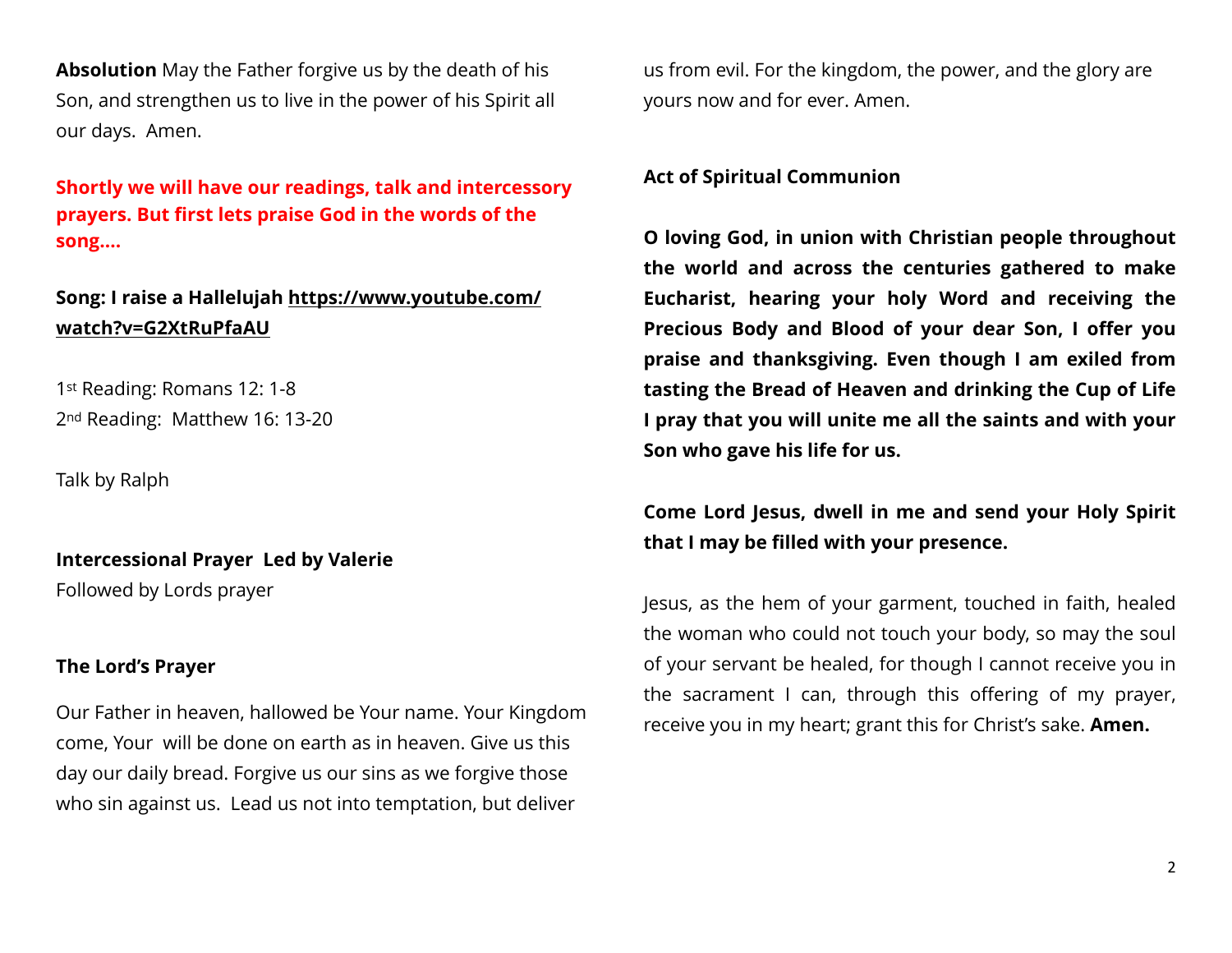**Absolution** May the Father forgive us by the death of his Son, and strengthen us to live in the power of his Spirit all our days. Amen.

**Shortly we will have our readings, talk and intercessory prayers. But first lets praise God in the words of the song….** 

# **Song: I raise a Hallelujah [https://www.youtube.com/](https://www.youtube.com/watch?v=G2XtRuPfaAU) [watch?v=G2XtRuPfaAU](https://www.youtube.com/watch?v=G2XtRuPfaAU)**

1st Reading: Romans 12: 1-8 2nd Reading: Matthew 16: 13-20

Talk by Ralph

**Intercessional Prayer Led by Valerie**  Followed by Lords prayer

#### **The Lord's Prayer**

Our Father in heaven, hallowed be Your name. Your Kingdom come, Your will be done on earth as in heaven. Give us this day our daily bread. Forgive us our sins as we forgive those who sin against us. Lead us not into temptation, but deliver

us from evil. For the kingdom, the power, and the glory are yours now and for ever. Amen.

#### **Act of Spiritual Communion**

**O loving God, in union with Christian people throughout the world and across the centuries gathered to make Eucharist, hearing your holy Word and receiving the Precious Body and Blood of your dear Son, I offer you praise and thanksgiving. Even though I am exiled from tasting the Bread of Heaven and drinking the Cup of Life I pray that you will unite me all the saints and with your Son who gave his life for us.** 

# **Come Lord Jesus, dwell in me and send your Holy Spirit that I may be filled with your presence.**

Jesus, as the hem of your garment, touched in faith, healed the woman who could not touch your body, so may the soul of your servant be healed, for though I cannot receive you in the sacrament I can, through this offering of my prayer, receive you in my heart; grant this for Christ's sake. **Amen.**